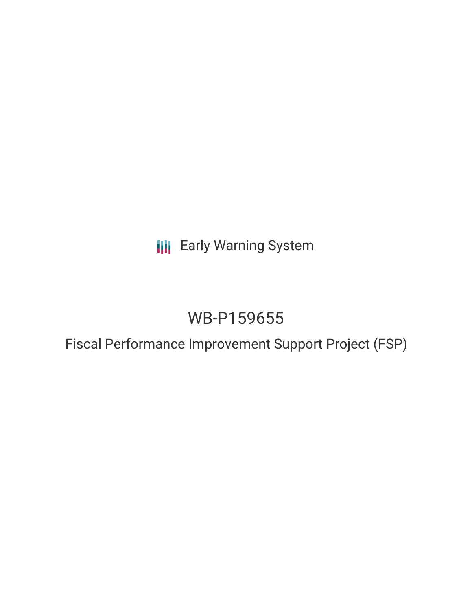**III** Early Warning System

# WB-P159655

Fiscal Performance Improvement Support Project (FSP)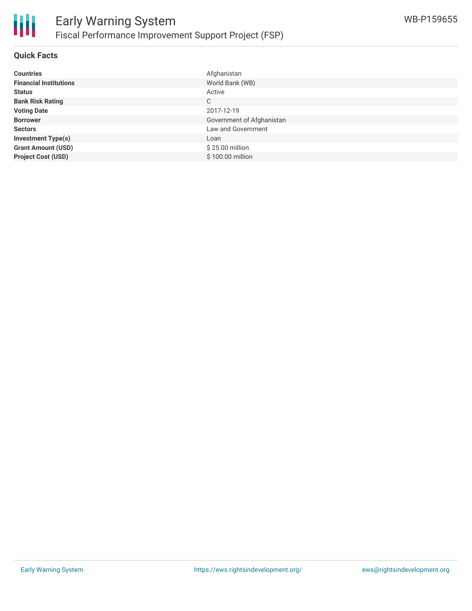

#### **Quick Facts**

| <b>Countries</b>              | Afghanistan               |
|-------------------------------|---------------------------|
| <b>Financial Institutions</b> | World Bank (WB)           |
| <b>Status</b>                 | Active                    |
| <b>Bank Risk Rating</b>       | C                         |
| <b>Voting Date</b>            | 2017-12-19                |
| <b>Borrower</b>               | Government of Afghanistan |
| <b>Sectors</b>                | Law and Government        |
| <b>Investment Type(s)</b>     | Loan                      |
| <b>Grant Amount (USD)</b>     | \$25.00 million           |
| <b>Project Cost (USD)</b>     | \$100.00 million          |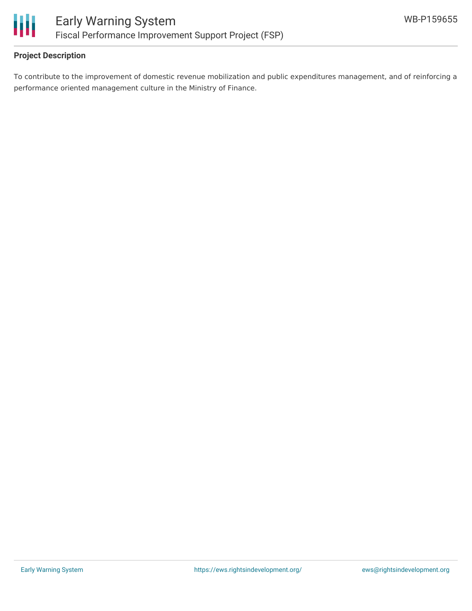

## **Project Description**

To contribute to the improvement of domestic revenue mobilization and public expenditures management, and of reinforcing a performance oriented management culture in the Ministry of Finance.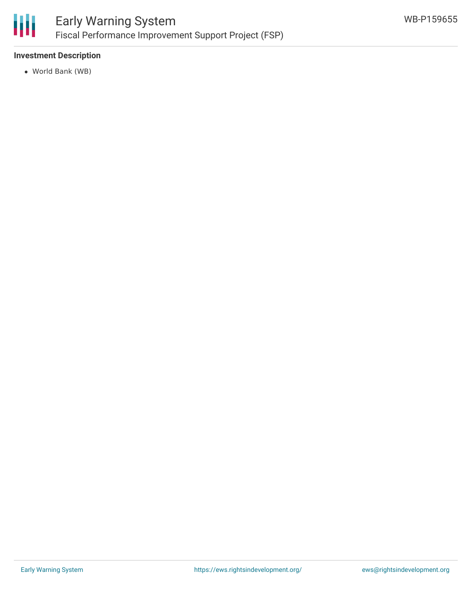

## **Investment Description**

World Bank (WB)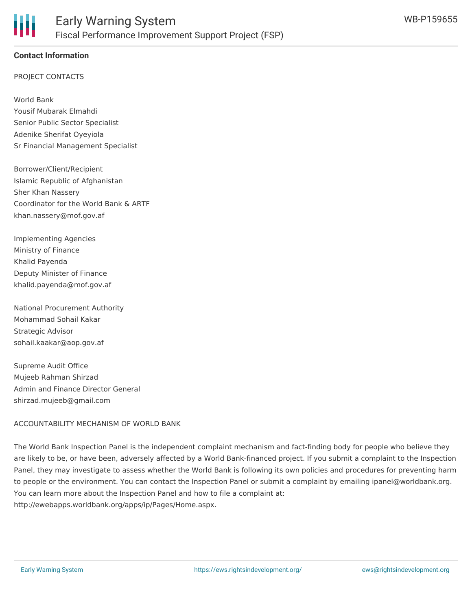

### **Contact Information**

#### PROJECT CONTACTS

World Bank Yousif Mubarak Elmahdi Senior Public Sector Specialist Adenike Sherifat Oyeyiola Sr Financial Management Specialist

Borrower/Client/Recipient Islamic Republic of Afghanistan Sher Khan Nassery Coordinator for the World Bank & ARTF khan.nassery@mof.gov.af

Implementing Agencies Ministry of Finance Khalid Payenda Deputy Minister of Finance khalid.payenda@mof.gov.af

National Procurement Authority Mohammad Sohail Kakar Strategic Advisor sohail.kaakar@aop.gov.af

Supreme Audit Office Mujeeb Rahman Shirzad Admin and Finance Director General shirzad.mujeeb@gmail.com

#### ACCOUNTABILITY MECHANISM OF WORLD BANK

The World Bank Inspection Panel is the independent complaint mechanism and fact-finding body for people who believe they are likely to be, or have been, adversely affected by a World Bank-financed project. If you submit a complaint to the Inspection Panel, they may investigate to assess whether the World Bank is following its own policies and procedures for preventing harm to people or the environment. You can contact the Inspection Panel or submit a complaint by emailing ipanel@worldbank.org. You can learn more about the Inspection Panel and how to file a complaint at: http://ewebapps.worldbank.org/apps/ip/Pages/Home.aspx.